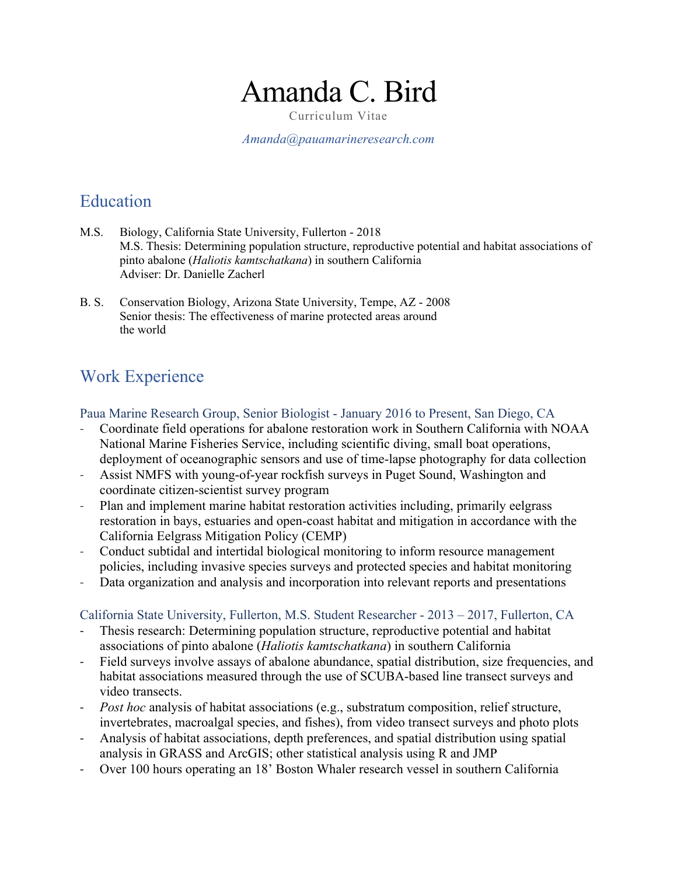# Amanda C. Bird

Curriculum Vitae

*Amanda@pauamarineresearch.com*

## Education

- M.S. Biology, California State University, Fullerton 2018 M.S. Thesis: Determining population structure, reproductive potential and habitat associations of pinto abalone (*Haliotis kamtschatkana*) in southern California Adviser: Dr. Danielle Zacherl
- B. S. Conservation Biology, Arizona State University, Tempe, AZ 2008 Senior thesis: The effectiveness of marine protected areas around the world

# Work Experience

Paua Marine Research Group, Senior Biologist - January 2016 to Present, San Diego, CA

- Coordinate field operations for abalone restoration work in Southern California with NOAA National Marine Fisheries Service, including scientific diving, small boat operations, deployment of oceanographic sensors and use of time-lapse photography for data collection
- Assist NMFS with young-of-year rockfish surveys in Puget Sound, Washington and coordinate citizen-scientist survey program
- Plan and implement marine habitat restoration activities including, primarily eelgrass restoration in bays, estuaries and open-coast habitat and mitigation in accordance with the California Eelgrass Mitigation Policy (CEMP)
- Conduct subtidal and intertidal biological monitoring to inform resource management policies, including invasive species surveys and protected species and habitat monitoring
- Data organization and analysis and incorporation into relevant reports and presentations

California State University, Fullerton, M.S. Student Researcher - 2013 – 2017, Fullerton, CA

- Thesis research: Determining population structure, reproductive potential and habitat associations of pinto abalone (*Haliotis kamtschatkana*) in southern California
- Field surveys involve assays of abalone abundance, spatial distribution, size frequencies, and habitat associations measured through the use of SCUBA-based line transect surveys and video transects.
- *Post hoc* analysis of habitat associations (e.g., substratum composition, relief structure, invertebrates, macroalgal species, and fishes), from video transect surveys and photo plots
- Analysis of habitat associations, depth preferences, and spatial distribution using spatial analysis in GRASS and ArcGIS; other statistical analysis using R and JMP
- Over 100 hours operating an 18' Boston Whaler research vessel in southern California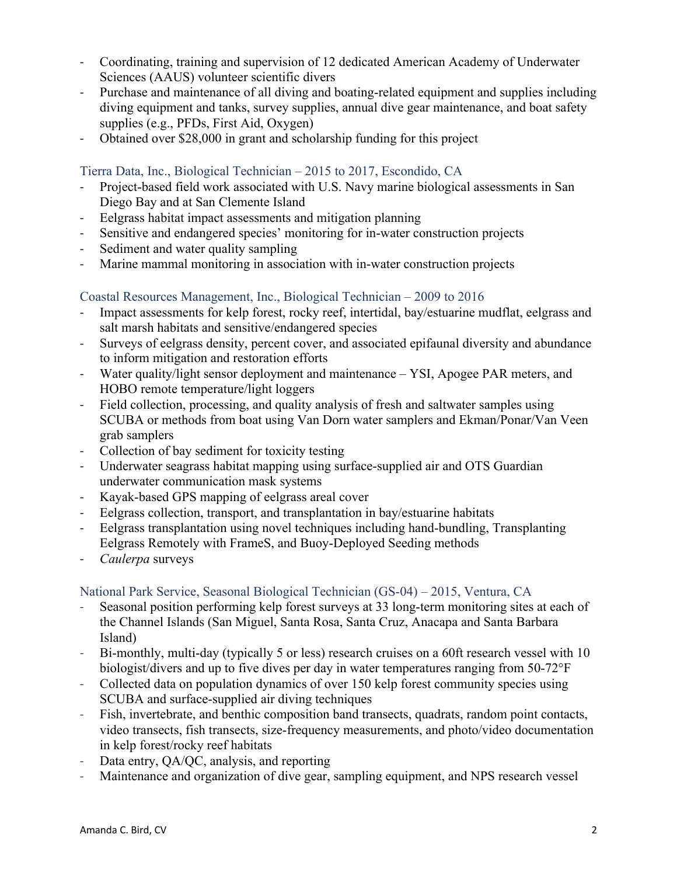- Coordinating, training and supervision of 12 dedicated American Academy of Underwater Sciences (AAUS) volunteer scientific divers
- Purchase and maintenance of all diving and boating-related equipment and supplies including diving equipment and tanks, survey supplies, annual dive gear maintenance, and boat safety supplies (e.g., PFDs, First Aid, Oxygen)
- Obtained over \$28,000 in grant and scholarship funding for this project

#### Tierra Data, Inc., Biological Technician – 2015 to 2017, Escondido, CA

- Project-based field work associated with U.S. Navy marine biological assessments in San Diego Bay and at San Clemente Island
- Eelgrass habitat impact assessments and mitigation planning
- Sensitive and endangered species' monitoring for in-water construction projects
- Sediment and water quality sampling
- Marine mammal monitoring in association with in-water construction projects

#### Coastal Resources Management, Inc., Biological Technician – 2009 to 2016

- Impact assessments for kelp forest, rocky reef, intertidal, bay/estuarine mudflat, eelgrass and salt marsh habitats and sensitive/endangered species
- Surveys of eelgrass density, percent cover, and associated epifaunal diversity and abundance to inform mitigation and restoration efforts
- Water quality/light sensor deployment and maintenance YSI, Apogee PAR meters, and HOBO remote temperature/light loggers
- Field collection, processing, and quality analysis of fresh and saltwater samples using SCUBA or methods from boat using Van Dorn water samplers and Ekman/Ponar/Van Veen grab samplers
- Collection of bay sediment for toxicity testing
- Underwater seagrass habitat mapping using surface-supplied air and OTS Guardian underwater communication mask systems
- Kayak-based GPS mapping of eelgrass areal cover
- Eelgrass collection, transport, and transplantation in bay/estuarine habitats
- Eelgrass transplantation using novel techniques including hand-bundling, Transplanting Eelgrass Remotely with FrameS, and Buoy-Deployed Seeding methods
- *Caulerpa* surveys

#### National Park Service, Seasonal Biological Technician (GS-04) – 2015, Ventura, CA

- Seasonal position performing kelp forest surveys at 33 long-term monitoring sites at each of the Channel Islands (San Miguel, Santa Rosa, Santa Cruz, Anacapa and Santa Barbara Island)
- Bi-monthly, multi-day (typically 5 or less) research cruises on a 60ft research vessel with 10 biologist/divers and up to five dives per day in water temperatures ranging from 50-72°F
- Collected data on population dynamics of over 150 kelp forest community species using SCUBA and surface-supplied air diving techniques
- Fish, invertebrate, and benthic composition band transects, quadrats, random point contacts, video transects, fish transects, size-frequency measurements, and photo/video documentation in kelp forest/rocky reef habitats
- Data entry, QA/QC, analysis, and reporting
- Maintenance and organization of dive gear, sampling equipment, and NPS research vessel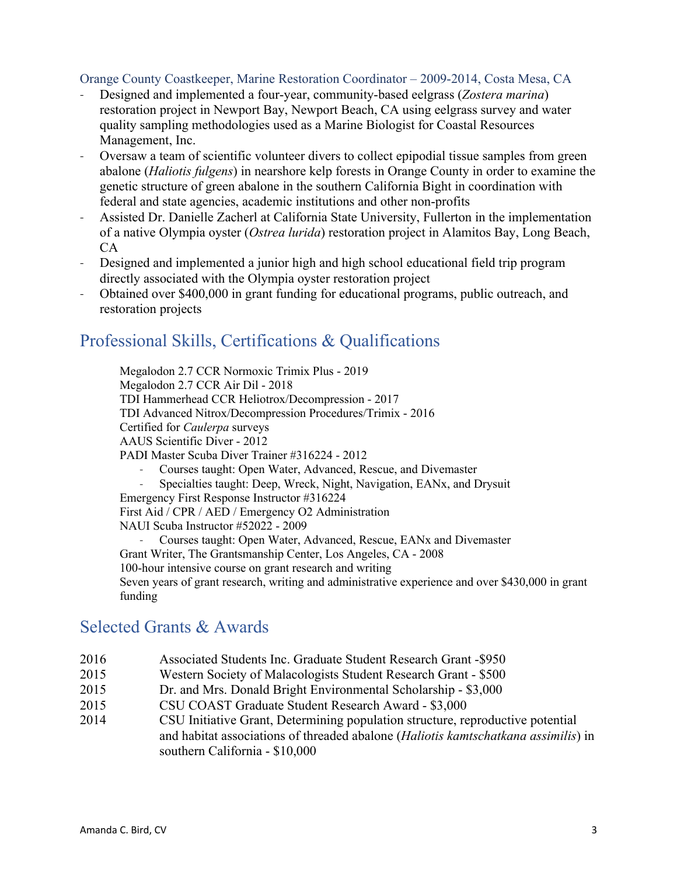#### Orange County Coastkeeper, Marine Restoration Coordinator – 2009-2014, Costa Mesa, CA

- Designed and implemented a four-year, community-based eelgrass (*Zostera marina*) restoration project in Newport Bay, Newport Beach, CA using eelgrass survey and water quality sampling methodologies used as a Marine Biologist for Coastal Resources Management, Inc.
- Oversaw a team of scientific volunteer divers to collect epipodial tissue samples from green abalone (*Haliotis fulgens*) in nearshore kelp forests in Orange County in order to examine the genetic structure of green abalone in the southern California Bight in coordination with federal and state agencies, academic institutions and other non-profits
- Assisted Dr. Danielle Zacherl at California State University, Fullerton in the implementation of a native Olympia oyster (*Ostrea lurida*) restoration project in Alamitos Bay, Long Beach, CA
- Designed and implemented a junior high and high school educational field trip program directly associated with the Olympia oyster restoration project
- Obtained over \$400,000 in grant funding for educational programs, public outreach, and restoration projects

## Professional Skills, Certifications & Qualifications

Megalodon 2.7 CCR Normoxic Trimix Plus - 2019 Megalodon 2.7 CCR Air Dil - 2018 TDI Hammerhead CCR Heliotrox/Decompression - 2017 TDI Advanced Nitrox/Decompression Procedures/Trimix - 2016 Certified for *Caulerpa* surveys AAUS Scientific Diver - 2012 PADI Master Scuba Diver Trainer #316224 - 2012 - Courses taught: Open Water, Advanced, Rescue, and Divemaster Specialties taught: Deep, Wreck, Night, Navigation, EANx, and Drysuit

Emergency First Response Instructor #316224 First Aid / CPR / AED / Emergency O2 Administration

NAUI Scuba Instructor #52022 - 2009

- Courses taught: Open Water, Advanced, Rescue, EANx and Divemaster Grant Writer, The Grantsmanship Center, Los Angeles, CA - 2008 100-hour intensive course on grant research and writing Seven years of grant research, writing and administrative experience and over \$430,000 in grant funding

## Selected Grants & Awards

- 2016 Associated Students Inc. Graduate Student Research Grant -\$950
- 2015 Western Society of Malacologists Student Research Grant \$500
- 2015 Dr. and Mrs. Donald Bright Environmental Scholarship \$3,000
- 2015 CSU COAST Graduate Student Research Award \$3,000
- 2014 CSU Initiative Grant, Determining population structure, reproductive potential and habitat associations of threaded abalone (*Haliotis kamtschatkana assimilis*) in southern California - \$10,000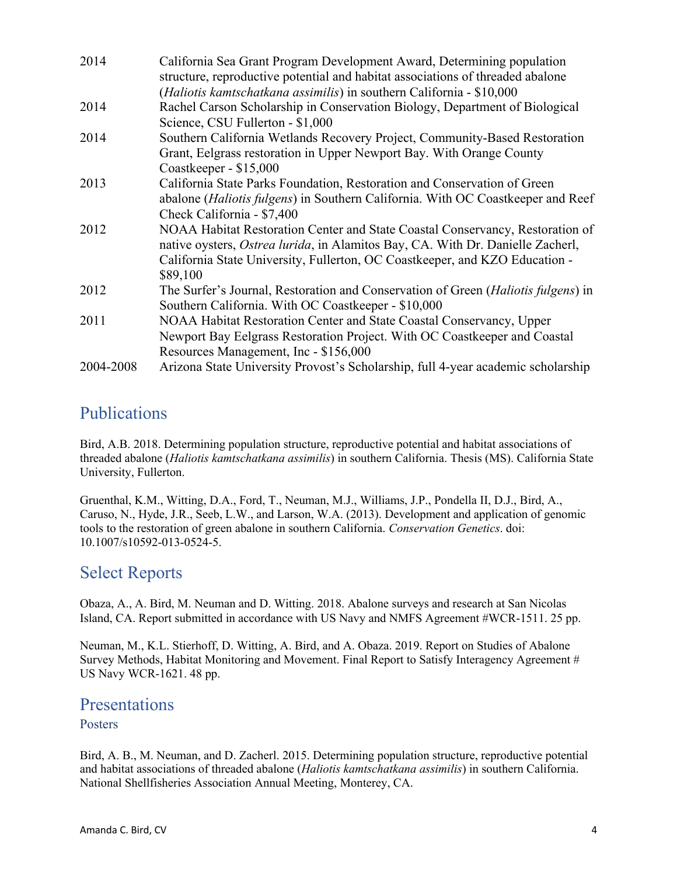| 2014      | California Sea Grant Program Development Award, Determining population<br>structure, reproductive potential and habitat associations of threaded abalone                                                                                                           |
|-----------|--------------------------------------------------------------------------------------------------------------------------------------------------------------------------------------------------------------------------------------------------------------------|
|           | (Haliotis kamtschatkana assimilis) in southern California - \$10,000                                                                                                                                                                                               |
| 2014      | Rachel Carson Scholarship in Conservation Biology, Department of Biological<br>Science, CSU Fullerton - \$1,000                                                                                                                                                    |
| 2014      | Southern California Wetlands Recovery Project, Community-Based Restoration                                                                                                                                                                                         |
|           | Grant, Eelgrass restoration in Upper Newport Bay. With Orange County<br>Coastkeeper - \$15,000                                                                                                                                                                     |
| 2013      | California State Parks Foundation, Restoration and Conservation of Green                                                                                                                                                                                           |
|           | abalone (Haliotis fulgens) in Southern California. With OC Coastkeeper and Reef<br>Check California - \$7,400                                                                                                                                                      |
| 2012      | NOAA Habitat Restoration Center and State Coastal Conservancy, Restoration of<br>native oysters, <i>Ostrea lurida</i> , in Alamitos Bay, CA. With Dr. Danielle Zacherl,<br>California State University, Fullerton, OC Coastkeeper, and KZO Education -<br>\$89,100 |
| 2012      | The Surfer's Journal, Restoration and Conservation of Green (Haliotis fulgens) in<br>Southern California. With OC Coastkeeper - \$10,000                                                                                                                           |
| 2011      | NOAA Habitat Restoration Center and State Coastal Conservancy, Upper                                                                                                                                                                                               |
|           | Newport Bay Eelgrass Restoration Project. With OC Coastkeeper and Coastal                                                                                                                                                                                          |
|           | Resources Management, Inc - \$156,000                                                                                                                                                                                                                              |
| 2004-2008 | Arizona State University Provost's Scholarship, full 4-year academic scholarship                                                                                                                                                                                   |

## Publications

Bird, A.B. 2018. Determining population structure, reproductive potential and habitat associations of threaded abalone (*Haliotis kamtschatkana assimilis*) in southern California. Thesis (MS). California State University, Fullerton.

Gruenthal, K.M., Witting, D.A., Ford, T., Neuman, M.J., Williams, J.P., Pondella II, D.J., Bird, A., Caruso, N., Hyde, J.R., Seeb, L.W., and Larson, W.A. (2013). Development and application of genomic tools to the restoration of green abalone in southern California. *Conservation Genetics*. doi: 10.1007/s10592-013-0524-5.

## Select Reports

Obaza, A., A. Bird, M. Neuman and D. Witting. 2018. Abalone surveys and research at San Nicolas Island, CA. Report submitted in accordance with US Navy and NMFS Agreement #WCR-1511. 25 pp.

Neuman, M., K.L. Stierhoff, D. Witting, A. Bird, and A. Obaza. 2019. Report on Studies of Abalone Survey Methods, Habitat Monitoring and Movement. Final Report to Satisfy Interagency Agreement # US Navy WCR-1621. 48 pp.

## **Presentations**

#### Posters

Bird, A. B., M. Neuman, and D. Zacherl. 2015. Determining population structure, reproductive potential and habitat associations of threaded abalone (*Haliotis kamtschatkana assimilis*) in southern California. National Shellfisheries Association Annual Meeting, Monterey, CA.